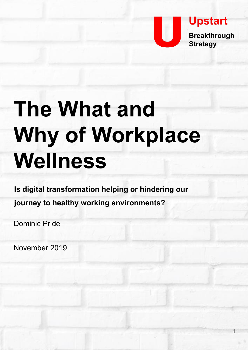

**1**

# **The What and Why of Workplace Wellness**

**Is digital transformation helping or hindering our journey to healthy working environments?** 

Dominic Pride

November 2019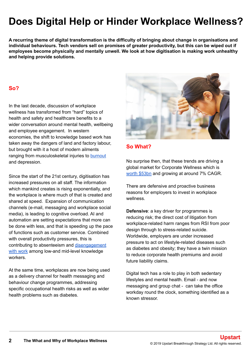# **Does Digital Help or Hinder Workplace Wellness?**

**A recurring theme of digital transformation is the difficulty of bringing about change in organisations and individual behaviours. Tech vendors sell on promises of greater productivity, but this can be wiped out if employees become physically and mentally unwell. We look at how digitisation is making work unhealthy and helping provide solutions.**

# **So?**

In the last decade, discussion of workplace wellness has transformed from "hard" topics of health and safety and healthcare benefits to a wider conversation around mental health, wellbeing and employee engagement. In western economies, the shift to knowledge based work has taken away the dangers of land and factory labour, but brought with it a host of modern ailments ranging from musculoskeletal injuries to [burnout](https://on.ft.com/2ZApf2A) and depression.

Since the start of the 21st century, digitisation has increased pressures on all staff. The information which mankind creates is rising exponentially, and the workplace is where much of that is created and shared at speed. Expansion of communication channels (e-mail, messaging and workplace social media), is leading to cognitive overload. AI and automation are setting expectations that more can be done with less, and that is speeding up the pace of functions such as customer service. Combined with overall productivity pressures, this is contributing to absenteeism and [disengagement](https://www.forbes.com/sites/karlynborysenko/2019/05/02/how-much-are-your-disengaged-employees-costing-you/#3dde3f3a3437) [with work](https://www.forbes.com/sites/karlynborysenko/2019/05/02/how-much-are-your-disengaged-employees-costing-you/#3dde3f3a3437) among low-and mid-level knowledge workers.

At the same time, workplaces are now being used as a delivery channel for health messaging and behaviour change programmes, addressing specific occupational health risks as well as wider health problems such as diabetes.



#### **So What?**

No surprise then, that these trends are driving a global market for Corporate Wellness which is [worth \\$53bn](https://www.grandviewresearch.com/press-release/global-corporate-wellness-market) and growing at around 7% CAGR.

There are defensive and proactive business reasons for employers to invest in workplace wellness.

**Defensive**: a key driver for programmes is reducing risk; the direct cost of litigation from workplace-related harm ranges from RSI from poor design through to stress-related suicide. Worldwide, employers are under increased pressure to act on lifestyle-related diseases such as diabetes and obesity; they have a twin mission to reduce corporate health premiums and avoid future liability claims.

Digital tech has a role to play in both sedentary lifestyles and mental health. Email - and now messaging and group chat - can take the office workday round the clock, something identified as a known stressor.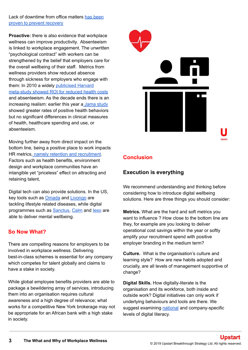Lack of downtime from office matters [has been](https://onlinelibrary.wiley.com/doi/pdf/10.1002/job.1924) [proven to prevent recovery](https://onlinelibrary.wiley.com/doi/pdf/10.1002/job.1924)

**Proactive:** there is also evidence that workplace wellness can improve productivity. Absenteeism is linked to workplace engagement. The unwritten "psychological contract" with workers can be strengthened by the belief that employers care for the overall wellbeing of their staff. Metrics from wellness providers show reduced absence through sickness for employers who engage with them: In 2010 a widely [publicised Harvard](https://www.bcidaho.com/_assets/Employer/2010-Harvard-Wellness-Program-Meta-Study-Health-Affairs.pdf) [meta-study showed ROI for reduced health costs](https://www.bcidaho.com/_assets/Employer/2010-Harvard-Wellness-Program-Meta-Study-Health-Affairs.pdf) and absenteeism. As the decade ends there is an increasing realism: earlier this year [a Jama study](https://jamanetwork.com/journals/jama/article-abstract/2730614) showed greater rates of positive health behaviors but no significant differences in clinical measures of health, healthcare spending and use, or absenteeism.

Moving further away from direct impact on the bottom line, being a positive place to work impacts HR metrics[, namely retention and recruitment](https://www.hrdconnect.com/wp-content/uploads/2019/03/RESOURCE-GEBW-Report_Single_FINAL_SCREEN_131118.pdf). Factors such as health benefits, environment design and workplace communities have an intangible yet "priceless" effect on attracting and retaining talent,

Digital tech can also provide solutions. In the US, key tools such as **Omada** and **[Livongo](https://www.livongo.com/)** are tackling lifestyle related diseases, while digital programmes such as **[Sanctus](https://sanctus.io/)**, [Calm](https://www.calm.com) and leso are able to deliver mental wellbeing.

#### **So Now What?**

There are compelling reasons for employers to be involved in workplace wellness. Delivering best-in-class schemes is essential for any company which competes for talent globally and claims to have a stake in society.

While global employee benefits providers are able to package a bewildering array of services, introducing them into an organisation requires cultural awareness and a high degree of relevance; what works for a competitive New York brokerage may not be appropriate for an African bank with a high stake in society.



# **Conclusion**

# **Execution is everything**

We recommend understanding and thinking before considering how to introduce digital wellbeing solutions. Here are three things you should consider:

**Metrics.** What are the hard and soft metrics you want to influence ? How close to the bottom line are they, for example are you looking to deliver operational cost savings within the year or softly amplify your recruitment spend with positive employer branding in the medium term?

**Culture.** What is the organisation's culture and learning style? How are new habits adopted and crucially, are all levels of management supportive of change?

**Digital Skills.** How digitally-literate is the organisation and its workforce, both inside and outside work? Digital initiatives can only work if underlying behaviours and tools are there. We suggest examining [national](https://www.worldbank.org/en/publication/wdr2016/Digital-Adoption-Index) and company-specific levels of digital literacy.